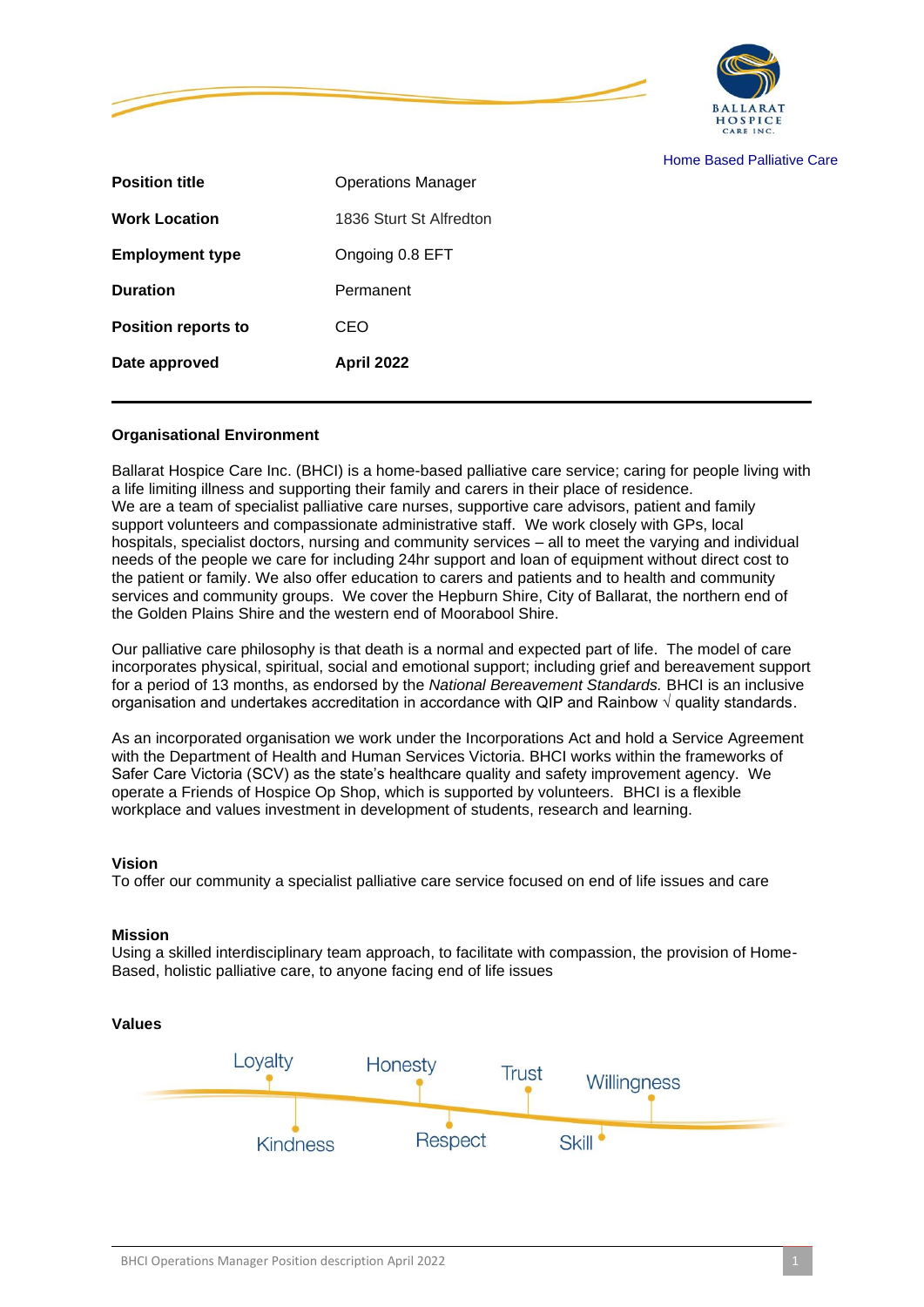



Home Based Palliative Care

| Date approved              | <b>April 2022</b>         |
|----------------------------|---------------------------|
| <b>Position reports to</b> | <b>CEO</b>                |
| <b>Duration</b>            | Permanent                 |
| <b>Employment type</b>     | Ongoing 0.8 EFT           |
| <b>Work Location</b>       | 1836 Sturt St Alfredton   |
| <b>Position title</b>      | <b>Operations Manager</b> |

#### **Organisational Environment**

Ballarat Hospice Care Inc. (BHCI) is a home-based palliative care service; caring for people living with a life limiting illness and supporting their family and carers in their place of residence. We are a team of specialist palliative care nurses, supportive care advisors, patient and family support volunteers and compassionate administrative staff. We work closely with GPs, local hospitals, specialist doctors, nursing and community services – all to meet the varying and individual needs of the people we care for including 24hr support and loan of equipment without direct cost to the patient or family. We also offer education to carers and patients and to health and community services and community groups. We cover the Hepburn Shire, City of Ballarat, the northern end of the Golden Plains Shire and the western end of Moorabool Shire.

Our palliative care philosophy is that death is a normal and expected part of life. The model of care incorporates physical, spiritual, social and emotional support; including grief and bereavement support for a period of 13 months, as endorsed by the *National Bereavement Standards.* BHCI is an inclusive organisation and undertakes accreditation in accordance with QIP and Rainbow √ quality standards.

As an incorporated organisation we work under the Incorporations Act and hold a Service Agreement with the Department of Health and Human Services Victoria. BHCI works within the frameworks of Safer Care Victoria (SCV) as the state's healthcare quality and safety improvement agency. We operate a Friends of Hospice Op Shop, which is supported by volunteers. BHCI is a flexible workplace and values investment in development of students, research and learning.

#### **Vision**

To offer our community a specialist palliative care service focused on end of life issues and care

#### **Mission**

Using a skilled interdisciplinary team approach, to facilitate with compassion, the provision of Home-Based, holistic palliative care, to anyone facing end of life issues

# **Values**

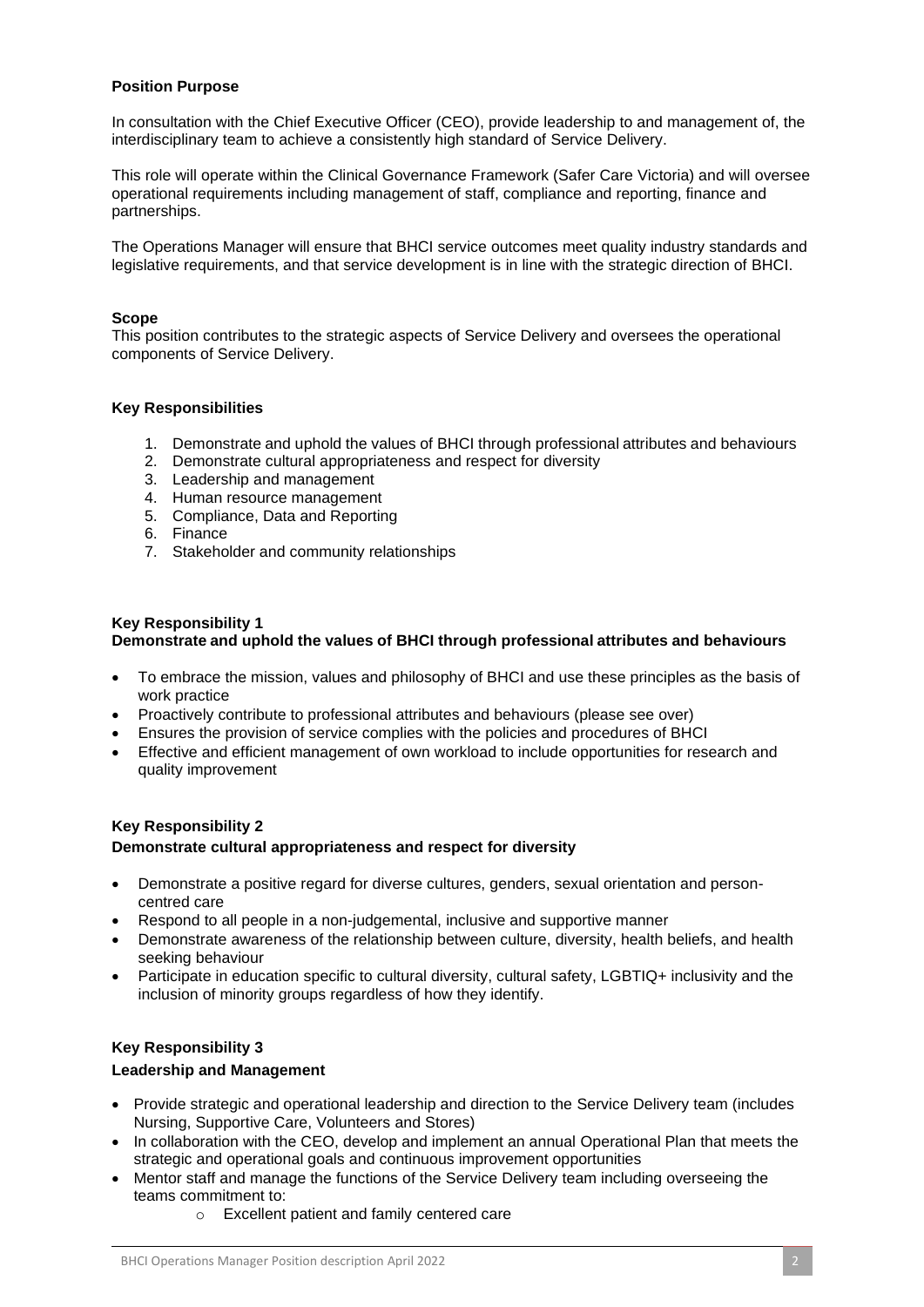# **Position Purpose**

In consultation with the Chief Executive Officer (CEO), provide leadership to and management of, the interdisciplinary team to achieve a consistently high standard of Service Delivery.

This role will operate within the Clinical Governance Framework (Safer Care Victoria) and will oversee operational requirements including management of staff, compliance and reporting, finance and partnerships.

The Operations Manager will ensure that BHCI service outcomes meet quality industry standards and legislative requirements, and that service development is in line with the strategic direction of BHCI.

# **Scope**

This position contributes to the strategic aspects of Service Delivery and oversees the operational components of Service Delivery.

### **Key Responsibilities**

- 1. Demonstrate and uphold the values of BHCI through professional attributes and behaviours
- 2. Demonstrate cultural appropriateness and respect for diversity
- 3. Leadership and management
- 4. Human resource management
- 5. Compliance, Data and Reporting
- 6. Finance
- 7. Stakeholder and community relationships

### **Key Responsibility 1 Demonstrate and uphold the values of BHCI through professional attributes and behaviours**

- To embrace the mission, values and philosophy of BHCI and use these principles as the basis of work practice
- Proactively contribute to professional attributes and behaviours (please see over)
- Ensures the provision of service complies with the policies and procedures of BHCI
- Effective and efficient management of own workload to include opportunities for research and quality improvement

# **Key Responsibility 2 Demonstrate cultural appropriateness and respect for diversity**

- Demonstrate a positive regard for diverse cultures, genders, sexual orientation and personcentred care
- Respond to all people in a non-judgemental, inclusive and supportive manner
- Demonstrate awareness of the relationship between culture, diversity, health beliefs, and health seeking behaviour
- Participate in education specific to cultural diversity, cultural safety, LGBTIQ+ inclusivity and the inclusion of minority groups regardless of how they identify.

# **Key Responsibility 3**

#### **Leadership and Management**

- Provide strategic and operational leadership and direction to the Service Delivery team (includes Nursing, Supportive Care, Volunteers and Stores)
- In collaboration with the CEO, develop and implement an annual Operational Plan that meets the strategic and operational goals and continuous improvement opportunities
- Mentor staff and manage the functions of the Service Delivery team including overseeing the teams commitment to:
	- o Excellent patient and family centered care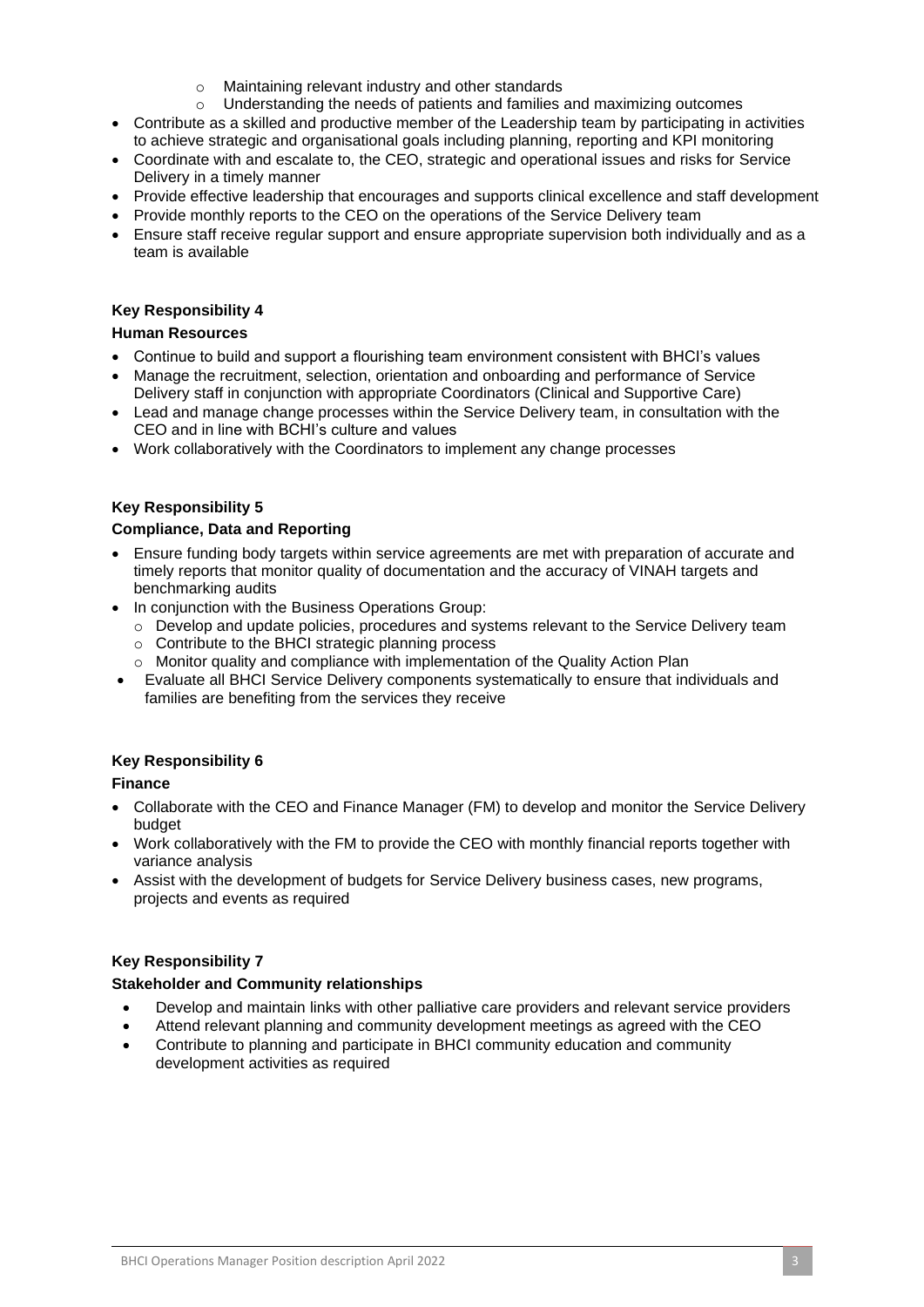- Maintaining relevant industry and other standards
- $\circ$  Understanding the needs of patients and families and maximizing outcomes
- Contribute as a skilled and productive member of the Leadership team by participating in activities to achieve strategic and organisational goals including planning, reporting and KPI monitoring
- Coordinate with and escalate to, the CEO, strategic and operational issues and risks for Service Delivery in a timely manner
- Provide effective leadership that encourages and supports clinical excellence and staff development
- Provide monthly reports to the CEO on the operations of the Service Delivery team
- Ensure staff receive regular support and ensure appropriate supervision both individually and as a team is available

# **Key Responsibility 4**

### **Human Resources**

- Continue to build and support a flourishing team environment consistent with BHCI's values
- Manage the recruitment, selection, orientation and onboarding and performance of Service Delivery staff in conjunction with appropriate Coordinators (Clinical and Supportive Care)
- Lead and manage change processes within the Service Delivery team, in consultation with the CEO and in line with BCHI's culture and values
- Work collaboratively with the Coordinators to implement any change processes

### **Key Responsibility 5**

### **Compliance, Data and Reporting**

- Ensure funding body targets within service agreements are met with preparation of accurate and timely reports that monitor quality of documentation and the accuracy of VINAH targets and benchmarking audits
- In conjunction with the Business Operations Group:
	- o Develop and update policies, procedures and systems relevant to the Service Delivery team
	- o Contribute to the BHCI strategic planning process
	- o Monitor quality and compliance with implementation of the Quality Action Plan
- Evaluate all BHCI Service Delivery components systematically to ensure that individuals and families are benefiting from the services they receive

# **Key Responsibility 6**

# **Finance**

- Collaborate with the CEO and Finance Manager (FM) to develop and monitor the Service Delivery budget
- Work collaboratively with the FM to provide the CEO with monthly financial reports together with variance analysis
- Assist with the development of budgets for Service Delivery business cases, new programs, projects and events as required

# **Key Responsibility 7**

#### **Stakeholder and Community relationships**

- Develop and maintain links with other palliative care providers and relevant service providers
- Attend relevant planning and community development meetings as agreed with the CEO
- Contribute to planning and participate in BHCI community education and community development activities as required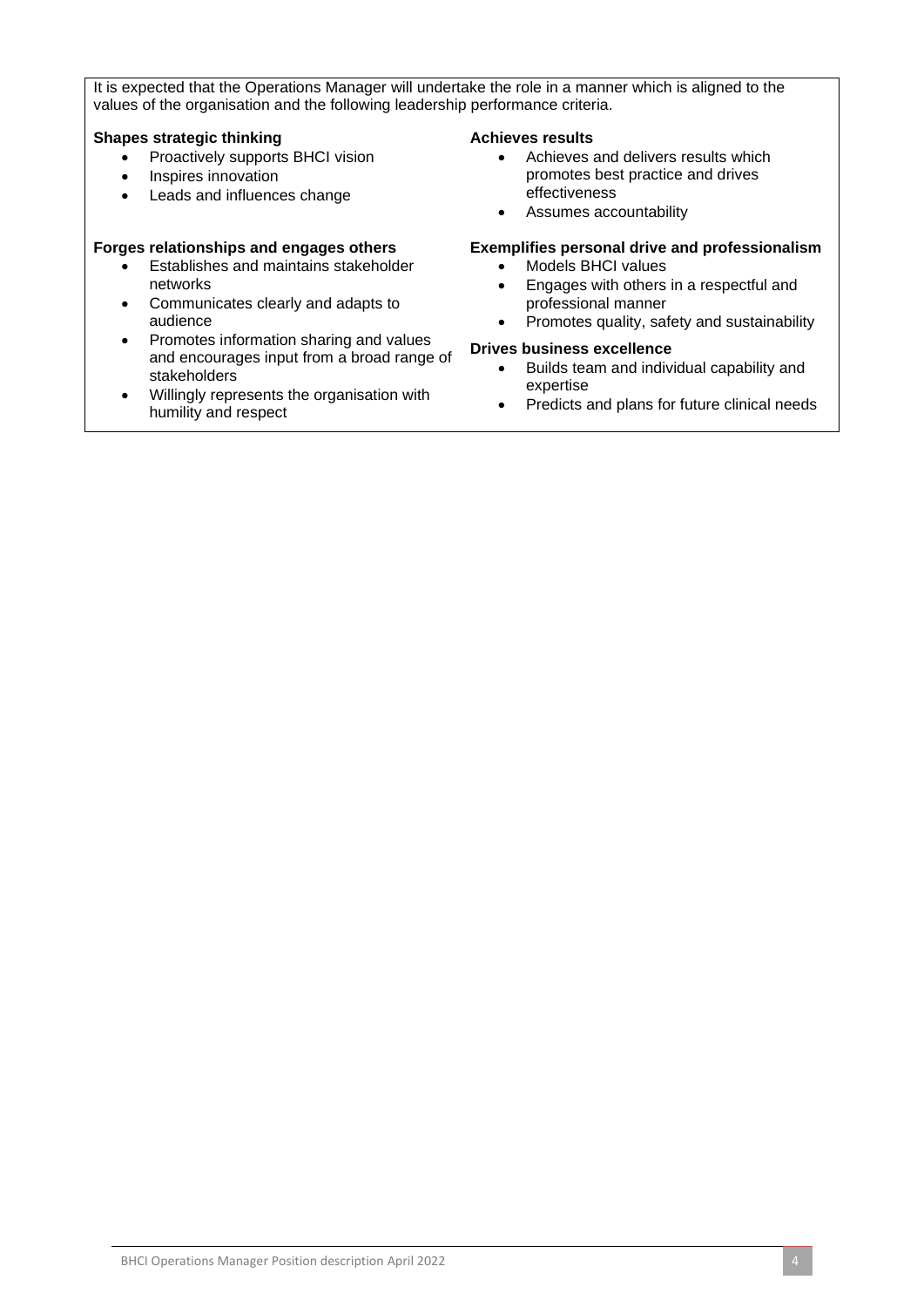It is expected that the Operations Manager will undertake the role in a manner which is aligned to the values of the organisation and the following leadership performance criteria.

### **Shapes strategic thinking**

- Proactively supports BHCI vision
- Inspires innovation
- Leads and influences change

# **Forges relationships and engages others**

- Establishes and maintains stakeholder networks
- Communicates clearly and adapts to audience
- Promotes information sharing and values and encourages input from a broad range of stakeholders
- Willingly represents the organisation with humility and respect

#### **Achieves results**

- Achieves and delivers results which promotes best practice and drives effectiveness
- Assumes accountability

# **Exemplifies personal drive and professionalism**

- Models BHCI values
- Engages with others in a respectful and professional manner
- Promotes quality, safety and sustainability

# **Drives business excellence**

- Builds team and individual capability and expertise
- Predicts and plans for future clinical needs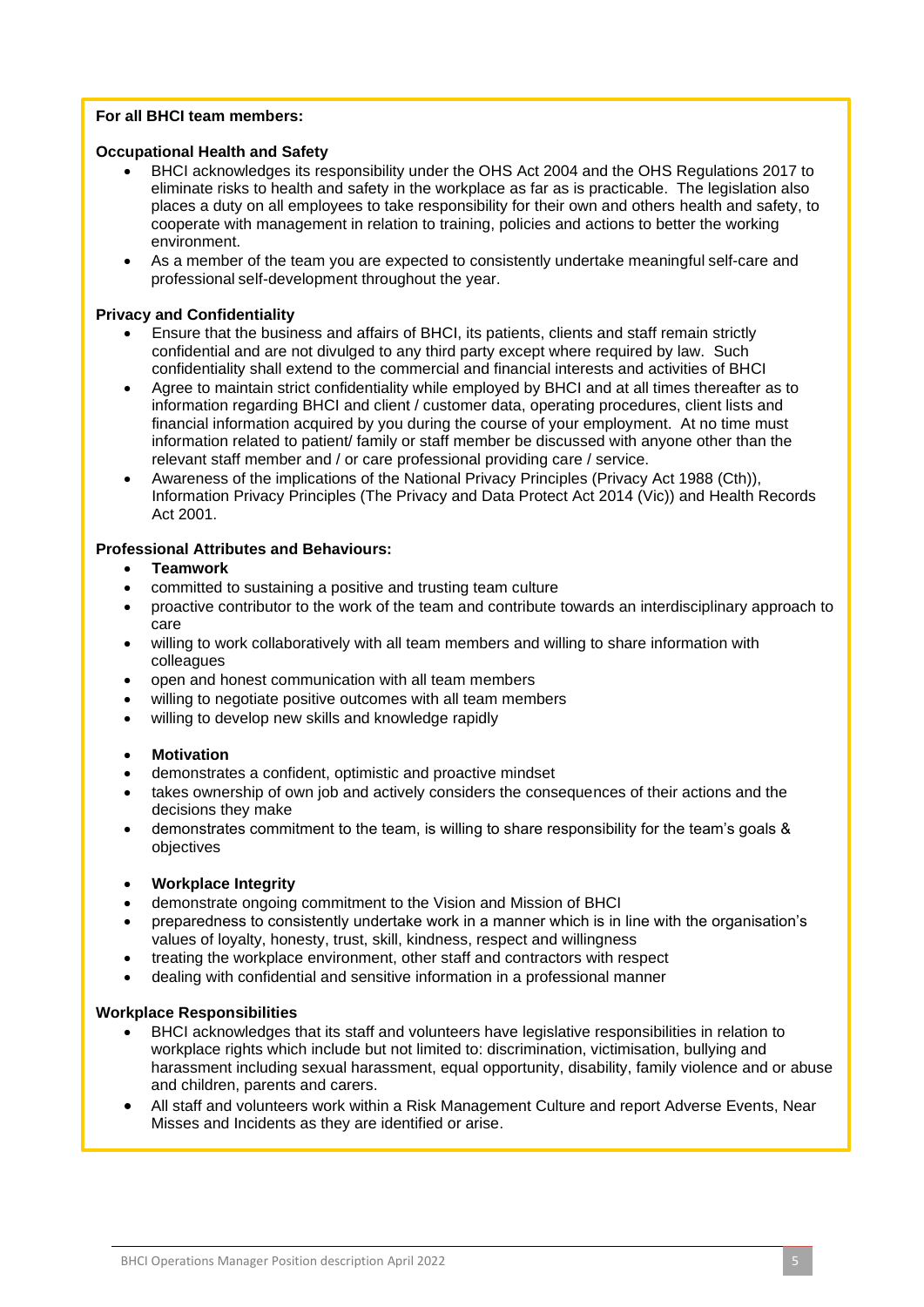# **For all BHCI team members:**

### **Occupational Health and Safety**

- BHCI acknowledges its responsibility under the OHS Act 2004 and the OHS Regulations 2017 to eliminate risks to health and safety in the workplace as far as is practicable. The legislation also places a duty on all employees to take responsibility for their own and others health and safety, to cooperate with management in relation to training, policies and actions to better the working environment.
- As a member of the team you are expected to consistently undertake meaningful self-care and professional self-development throughout the year.

### **Privacy and Confidentiality**

- Ensure that the business and affairs of BHCI, its patients, clients and staff remain strictly confidential and are not divulged to any third party except where required by law. Such confidentiality shall extend to the commercial and financial interests and activities of BHCI
- Agree to maintain strict confidentiality while employed by BHCI and at all times thereafter as to information regarding BHCI and client / customer data, operating procedures, client lists and financial information acquired by you during the course of your employment. At no time must information related to patient/ family or staff member be discussed with anyone other than the relevant staff member and / or care professional providing care / service.
- Awareness of the implications of the National Privacy Principles (Privacy Act 1988 (Cth)), Information Privacy Principles (The Privacy and Data Protect Act 2014 (Vic)) and Health Records Act 2001.

### **Professional Attributes and Behaviours:**

- **Teamwork**
- committed to sustaining a positive and trusting team culture
- proactive contributor to the work of the team and contribute towards an interdisciplinary approach to care
- willing to work collaboratively with all team members and willing to share information with colleagues
- open and honest communication with all team members
- willing to negotiate positive outcomes with all team members
- willing to develop new skills and knowledge rapidly

#### • **Motivation**

- demonstrates a confident, optimistic and proactive mindset
- takes ownership of own job and actively considers the consequences of their actions and the decisions they make
- demonstrates commitment to the team, is willing to share responsibility for the team's goals & objectives

#### • **Workplace Integrity**

- demonstrate ongoing commitment to the Vision and Mission of BHCI
- preparedness to consistently undertake work in a manner which is in line with the organisation's values of loyalty, honesty, trust, skill, kindness, respect and willingness
- treating the workplace environment, other staff and contractors with respect
- dealing with confidential and sensitive information in a professional manner

# **Workplace Responsibilities**

- BHCI acknowledges that its staff and volunteers have legislative responsibilities in relation to workplace rights which include but not limited to: discrimination, victimisation, bullying and harassment including sexual harassment, equal opportunity, disability, family violence and or abuse and children, parents and carers.
- Misses and Incidents as they are identified or arise. • All staff and volunteers work within a Risk Management Culture and report Adverse Events, Near